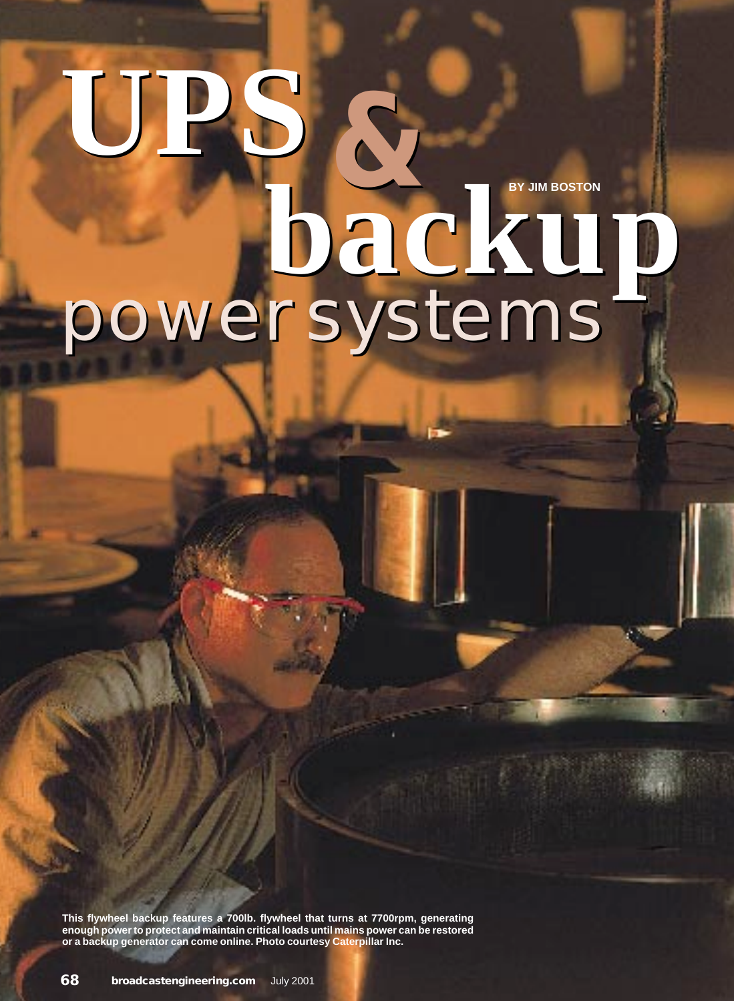## **BY JIM BOSTON** power systems **UPS backup UPS b**<br>**backup**

**This flywheel backup features a 700lb. flywheel that turns at 7700rpm, generating enough power to protect and maintain critical loads until mains power can be restored or a backup generator can come online. Photo courtesy Caterpillar Inc.**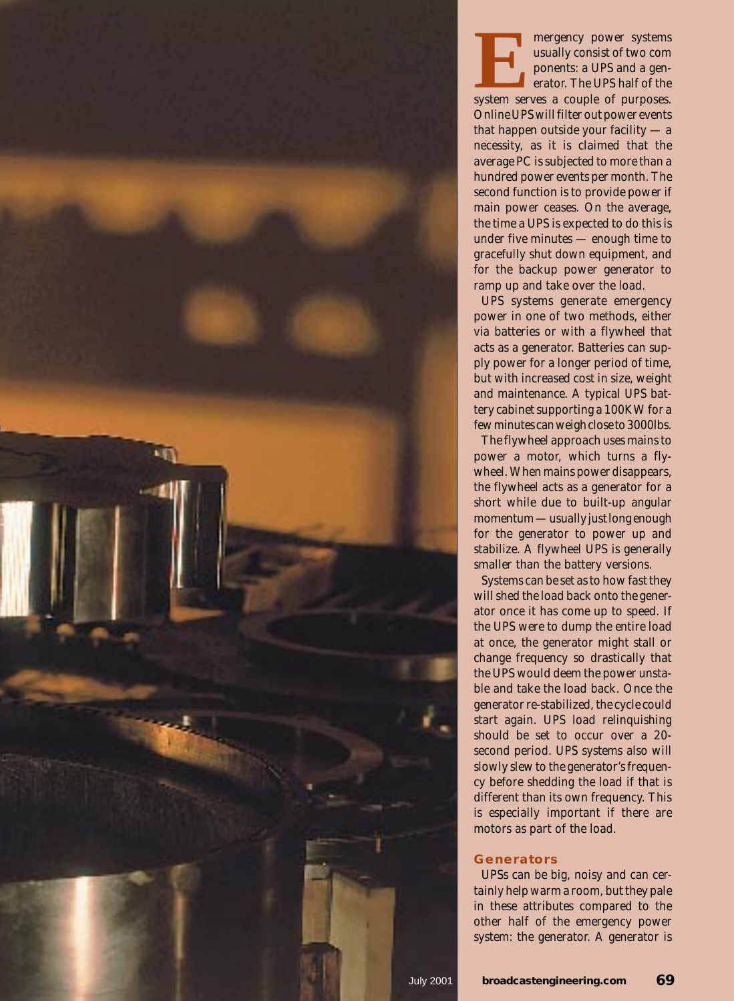

UPS systems generate emergency power in one of two methods, either via batteries or with a flywheel that acts as a generator. Batteries can supply power for a longer period of time, but with increased cost in size, weight and maintenance. A typical UPS battery cabinet supporting a 100KW for a few minutes can weigh close to 3000lbs.

The flywheel approach uses mains to power a motor, which turns a flywheel. When mains power disappears, the flywheel acts as a generator for a short while due to built-up angular momentum — usually just long enough for the generator to power up and stabilize. A flywheel UPS is generally smaller than the battery versions.

Systems can be set as to how fast they will shed the load back onto the generator once it has come up to speed. If the UPS were to dump the entire load at once, the generator might stall or change frequency so drastically that the UPS would deem the power unstable and take the load back. Once the generator re-stabilized, the cycle could start again. UPS load relinquishing should be set to occur over a 20 second period. UPS systems also will slowly slew to the generator's frequency before shedding the load if that is different than its own frequency. This is especially important if there are motors as part of the load.

## **Generators**

UPSs can be big, noisy and can certainly help warm a room, but they pale in these attributes compared to the other half of the emergency power system: the generator. A generator is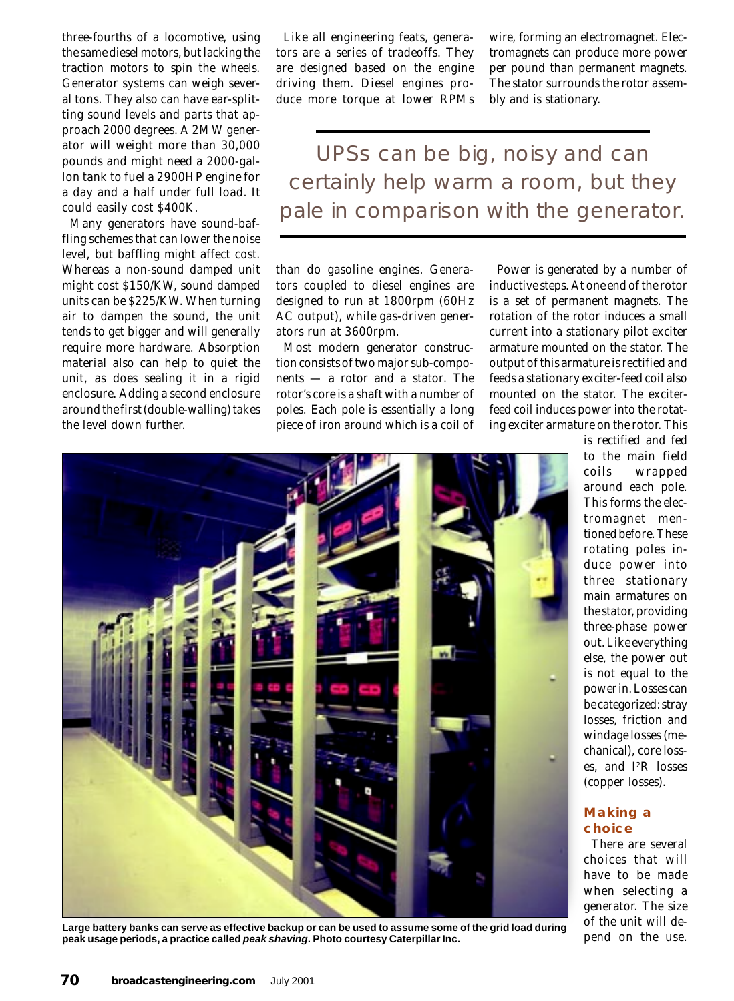three-fourths of a locomotive, using the same diesel motors, but lacking the traction motors to spin the wheels. Generator systems can weigh several tons. They also can have ear-splitting sound levels and parts that approach 2000 degrees. A 2MW generator will weight more than 30,000 pounds and might need a 2000-gallon tank to fuel a 2900HP engine for a day and a half under full load. It could easily cost \$400K.

Many generators have sound-baffling schemes that can lower the noise level, but baffling might affect cost. Whereas a non-sound damped unit might cost \$150/KW, sound damped units can be \$225/KW. When turning air to dampen the sound, the unit tends to get bigger and will generally require more hardware. Absorption material also can help to quiet the unit, as does sealing it in a rigid enclosure. Adding a second enclosure around the first (double-walling) takes the level down further.

Like all engineering feats, generators are a series of tradeoffs. They are designed based on the engine driving them. Diesel engines produce more torque at lower RPMs

wire, forming an electromagnet. Electromagnets can produce more power per pound than permanent magnets. The stator surrounds the rotor assembly and is stationary.

UPSs can be big, noisy and can certainly help warm a room, but they pale in comparison with the generator.

than do gasoline engines. Generators coupled to diesel engines are designed to run at 1800rpm (60Hz AC output), while gas-driven generators run at 3600rpm.

Most modern generator construction consists of two major sub-components — a *rotor* and a *stator*. The rotor's core is a shaft with a number of poles. Each pole is essentially a long piece of iron around which is a coil of

Power is generated by a number of inductive steps. At one end of the rotor is a set of permanent magnets. The rotation of the rotor induces a small current into a stationary pilot exciter armature mounted on the stator. The output of this armature is rectified and feeds a stationary exciter-feed coil also mounted on the stator. The exciterfeed coil induces power into the rotating exciter armature on the rotor. This



**Large battery banks can serve as effective backup or can be used to assume some of the grid load during peak usage periods, a practice called peak shaving. Photo courtesy Caterpillar Inc.**

is rectified and fed to the main field coils wrapped around each pole. This forms the electromagnet mentioned before. These rotating poles induce power into three stationary main armatures on the stator, providing three-phase power out. Like everything else, the power out is not equal to the power in. Losses can be categorized: stray losses, friction and windage losses (mechanical), core losses, and I2R losses (copper losses).

## **Making a choice**

There are several choices that will have to be made when selecting a generator. The size of the unit will depend on the use.